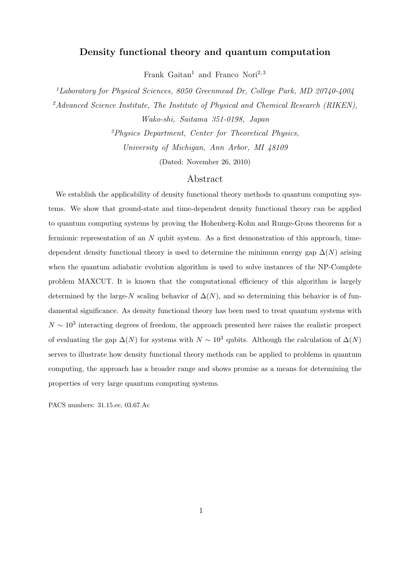## Density functional theory and quantum computation

Frank Gaitan<sup>1</sup> and Franco Nori<sup>2,3</sup>

<sup>1</sup>Laboratory for Physical Sciences, 8050 Greenmead Dr, College Park, MD 20740-4004 <sup>2</sup>Advanced Science Institute, The Institute of Physical and Chemical Research (RIKEN), Wako-shi, Saitama 351-0198, Japan

> <sup>3</sup>Physics Department, Center for Theoretical Physics, University of Michigan, Ann Arbor, MI 48109

> > (Dated: November 26, 2010)

## Abstract

We establish the applicability of density functional theory methods to quantum computing systems. We show that ground-state and time-dependent density functional theory can be applied to quantum computing systems by proving the Hohenberg-Kohn and Runge-Gross theorems for a fermionic representation of an N qubit system. As a first demonstration of this approach, timedependent density functional theory is used to determine the minimum energy gap  $\Delta(N)$  arising when the quantum adiabatic evolution algorithm is used to solve instances of the NP-Complete problem MAXCUT. It is known that the computational efficiency of this algorithm is largely determined by the large-N scaling behavior of  $\Delta(N)$ , and so determining this behavior is of fundamental significance. As density functional theory has been used to treat quantum systems with  $N \sim 10^3$  interacting degrees of freedom, the approach presented here raises the realistic prospect of evaluating the gap  $\Delta(N)$  for systems with  $N \sim 10^3$  qubits. Although the calculation of  $\Delta(N)$ serves to illustrate how density functional theory methods can be applied to problems in quantum computing, the approach has a broader range and shows promise as a means for determining the properties of very large quantum computing systems.

PACS numbers: 31.15.ee, 03.67.Ac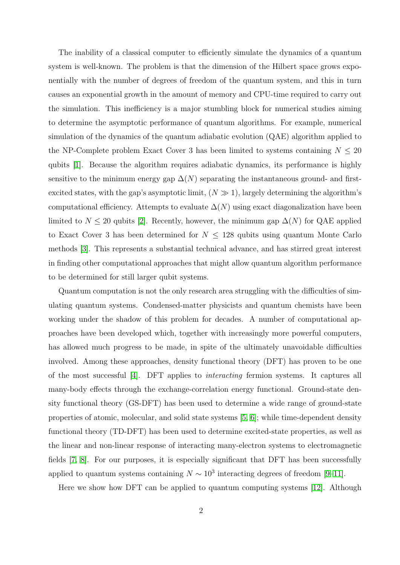The inability of a classical computer to efficiently simulate the dynamics of a quantum system is well-known. The problem is that the dimension of the Hilbert space grows exponentially with the number of degrees of freedom of the quantum system, and this in turn causes an exponential growth in the amount of memory and CPU-time required to carry out the simulation. This inefficiency is a major stumbling block for numerical studies aiming to determine the asymptotic performance of quantum algorithms. For example, numerical simulation of the dynamics of the quantum adiabatic evolution (QAE) algorithm applied to the NP-Complete problem Exact Cover 3 has been limited to systems containing  $N \leq 20$ qubits [\[1\]](#page-12-0). Because the algorithm requires adiabatic dynamics, its performance is highly sensitive to the minimum energy gap  $\Delta(N)$  separating the instantaneous ground- and firstexcited states, with the gap's asymptotic limit,  $(N \gg 1)$ , largely determining the algorithm's computational efficiency. Attempts to evaluate  $\Delta(N)$  using exact diagonalization have been limited to  $N \leq 20$  qubits [\[2\]](#page-12-1). Recently, however, the minimum gap  $\Delta(N)$  for QAE applied to Exact Cover 3 has been determined for  $N \leq 128$  qubits using quantum Monte Carlo methods [\[3\]](#page-12-2). This represents a substantial technical advance, and has stirred great interest in finding other computational approaches that might allow quantum algorithm performance to be determined for still larger qubit systems.

Quantum computation is not the only research area struggling with the difficulties of simulating quantum systems. Condensed-matter physicists and quantum chemists have been working under the shadow of this problem for decades. A number of computational approaches have been developed which, together with increasingly more powerful computers, has allowed much progress to be made, in spite of the ultimately unavoidable difficulties involved. Among these approaches, density functional theory (DFT) has proven to be one of the most successful [\[4\]](#page-12-3). DFT applies to interacting fermion systems. It captures all many-body effects through the exchange-correlation energy functional. Ground-state density functional theory (GS-DFT) has been used to determine a wide range of ground-state properties of atomic, molecular, and solid state systems [\[5,](#page-12-4) [6\]](#page-12-5); while time-dependent density functional theory (TD-DFT) has been used to determine excited-state properties, as well as the linear and non-linear response of interacting many-electron systems to electromagnetic fields [\[7,](#page-12-6) [8\]](#page-12-7). For our purposes, it is especially significant that DFT has been successfully applied to quantum systems containing  $N \sim 10^3$  interacting degrees of freedom [\[9–](#page-12-8)[11\]](#page-12-9).

Here we show how DFT can be applied to quantum computing systems [\[12\]](#page-12-10). Although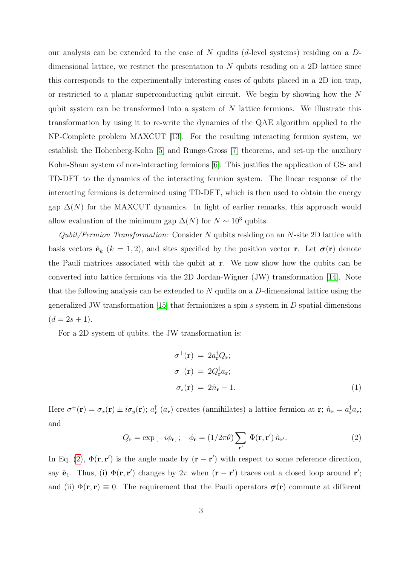our analysis can be extended to the case of N qudits (d-level systems) residing on a  $D$ dimensional lattice, we restrict the presentation to  $N$  qubits residing on a 2D lattice since this corresponds to the experimentally interesting cases of qubits placed in a 2D ion trap, or restricted to a planar superconducting qubit circuit. We begin by showing how the N qubit system can be transformed into a system of  $N$  lattice fermions. We illustrate this transformation by using it to re-write the dynamics of the QAE algorithm applied to the NP-Complete problem MAXCUT [\[13\]](#page-12-11). For the resulting interacting fermion system, we establish the Hohenberg-Kohn [\[5\]](#page-12-4) and Runge-Gross [\[7\]](#page-12-6) theorems, and set-up the auxiliary Kohn-Sham system of non-interacting fermions [\[6\]](#page-12-5). This justifies the application of GS- and TD-DFT to the dynamics of the interacting fermion system. The linear response of the interacting fermions is determined using TD-DFT, which is then used to obtain the energy gap  $\Delta(N)$  for the MAXCUT dynamics. In light of earlier remarks, this approach would allow evaluation of the minimum gap  $\Delta(N)$  for  $N \sim 10^3$  qubits.

Qubit/Fermion Transformation: Consider N qubits residing on an N-site 2D lattice with basis vectors  $\hat{\mathbf{e}}_k$  ( $k = 1, 2$ ), and sites specified by the position vector **r**. Let  $\sigma(\mathbf{r})$  denote the Pauli matrices associated with the qubit at r. We now show how the qubits can be converted into lattice fermions via the 2D Jordan-Wigner (JW) transformation [\[14\]](#page-12-12). Note that the following analysis can be extended to  $N$  qudits on a  $D$ -dimensional lattice using the generalized JW transformation [\[15\]](#page-12-13) that fermionizes a spin s system in  $D$  spatial dimensions  $(d = 2s + 1).$ 

For a 2D system of qubits, the JW transformation is:

<span id="page-2-1"></span>
$$
\sigma^+(\mathbf{r}) = 2a_\mathbf{r}^\dagger Q_\mathbf{r};
$$
  
\n
$$
\sigma^-(\mathbf{r}) = 2Q_\mathbf{r}^\dagger a_\mathbf{r};
$$
  
\n
$$
\sigma_z(\mathbf{r}) = 2\hat{n}_\mathbf{r} - 1.
$$
\n(1)

Here  $\sigma^{\pm}(\mathbf{r}) = \sigma_x(\mathbf{r}) \pm i\sigma_y(\mathbf{r})$ ;  $a_{\mathbf{r}}^{\dagger}$  ( $a_{\mathbf{r}}$ ) creates (annihilates) a lattice fermion at  $\mathbf{r}$ ;  $\hat{n}_{\mathbf{r}} = a_{\mathbf{r}}^{\dagger}a_{\mathbf{r}}$ ; and

<span id="page-2-0"></span>
$$
Q_{\mathbf{r}} = \exp\left[-i\phi_{\mathbf{r}}\right]; \quad \phi_{\mathbf{r}} = (1/2\pi\theta) \sum_{\mathbf{r}'} \Phi(\mathbf{r}, \mathbf{r}') \hat{n}_{\mathbf{r}'}.
$$
 (2)

In Eq. [\(2\)](#page-2-0),  $\Phi(\mathbf{r}, \mathbf{r}')$  is the angle made by  $(\mathbf{r} - \mathbf{r}')$  with respect to some reference direction, say  $\hat{\mathbf{e}}_1$ . Thus, (i)  $\Phi(\mathbf{r}, \mathbf{r}')$  changes by  $2\pi$  when  $(\mathbf{r} - \mathbf{r}')$  traces out a closed loop around  $\mathbf{r}'$ ; and (ii)  $\Phi(\mathbf{r}, \mathbf{r}) \equiv 0$ . The requirement that the Pauli operators  $\sigma(\mathbf{r})$  commute at different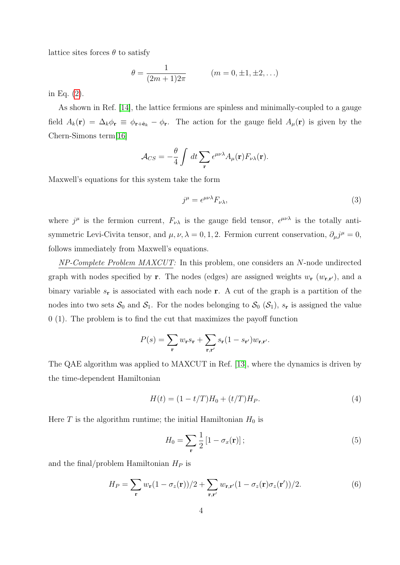lattice sites forces  $\theta$  to satisfy

$$
\theta = \frac{1}{(2m+1)2\pi} \qquad (m = 0, \pm 1, \pm 2, \ldots)
$$

in Eq. [\(2\)](#page-2-0).

As shown in Ref. [\[14\]](#page-12-12), the lattice fermions are spinless and minimally-coupled to a gauge field  $A_k(\mathbf{r}) = \Delta_k \phi_{\mathbf{r}} \equiv \phi_{\mathbf{r}+\hat{\mathbf{e}}_k} - \phi_{\mathbf{r}}$ . The action for the gauge field  $A_\mu(\mathbf{r})$  is given by the Chern-Simons term[\[16\]](#page-13-0)

$$
\mathcal{A}_{CS} = -\frac{\theta}{4} \int dt \sum_{\mathbf{r}} \epsilon^{\mu\nu\lambda} A_{\mu}(\mathbf{r}) F_{\nu\lambda}(\mathbf{r}).
$$

Maxwell's equations for this system take the form

<span id="page-3-0"></span>
$$
j^{\mu} = \epsilon^{\mu\nu\lambda} F_{\nu\lambda},\tag{3}
$$

where  $j^{\mu}$  is the fermion current,  $F_{\nu\lambda}$  is the gauge field tensor,  $\epsilon^{\mu\nu\lambda}$  is the totally antisymmetric Levi-Civita tensor, and  $\mu, \nu, \lambda = 0, 1, 2$ . Fermion current conservation,  $\partial_{\mu} j^{\mu} = 0$ , follows immediately from Maxwell's equations.

NP-Complete Problem MAXCUT: In this problem, one considers an N-node undirected graph with nodes specified by **r**. The nodes (edges) are assigned weights  $w_r (w_{r,r})$ , and a binary variable  $s_r$  is associated with each node r. A cut of the graph is a partition of the nodes into two sets  $S_0$  and  $S_1$ . For the nodes belonging to  $S_0$   $(S_1)$ ,  $s_r$  is assigned the value 0 (1). The problem is to find the cut that maximizes the payoff function

$$
P(s) = \sum_{\mathbf{r}} w_{\mathbf{r}} s_{\mathbf{r}} + \sum_{\mathbf{r}, \mathbf{r'}} s_{\mathbf{r}} (1 - s_{\mathbf{r'}}) w_{\mathbf{r}, \mathbf{r'}}.
$$

The QAE algorithm was applied to MAXCUT in Ref. [\[13\]](#page-12-11), where the dynamics is driven by the time-dependent Hamiltonian

$$
H(t) = (1 - t/T)H_0 + (t/T)H_P.
$$
\n(4)

Here T is the algorithm runtime; the initial Hamiltonian  $H_0$  is

$$
H_0 = \sum_{\mathbf{r}} \frac{1}{2} \left[ 1 - \sigma_x(\mathbf{r}) \right];\tag{5}
$$

and the final/problem Hamiltonian  $H_P$  is

$$
H_P = \sum_{\mathbf{r}} w_{\mathbf{r}} (1 - \sigma_z(\mathbf{r})) / 2 + \sum_{\mathbf{r}, \mathbf{r}'} w_{\mathbf{r}, \mathbf{r}'} (1 - \sigma_z(\mathbf{r}) \sigma_z(\mathbf{r}')) / 2.
$$
 (6)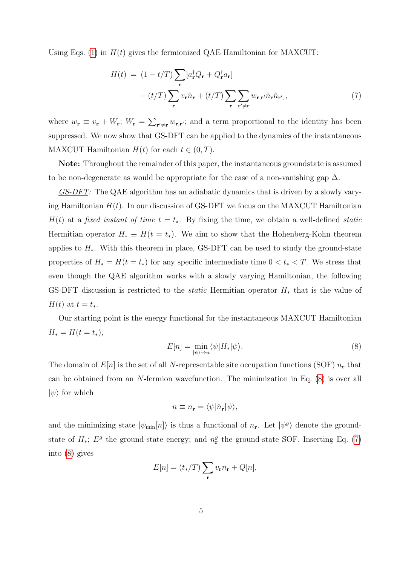Using Eqs. [\(1\)](#page-2-1) in  $H(t)$  gives the fermionized QAE Hamiltonian for MAXCUT:

<span id="page-4-1"></span>
$$
H(t) = (1 - t/T) \sum_{\mathbf{r}} [a_{\mathbf{r}}^{\dagger} Q_{\mathbf{r}} + Q_{\mathbf{r}}^{\dagger} a_{\mathbf{r}}] + (t/T) \sum_{\mathbf{r}} v_{\mathbf{r}} \hat{n}_{\mathbf{r}} + (t/T) \sum_{\mathbf{r}} \sum_{\mathbf{r'} \neq \mathbf{r}} w_{\mathbf{r}, \mathbf{r'}} \hat{n}_{\mathbf{r}} \hat{n}_{\mathbf{r'}}],
$$
\n(7)

where  $w_{\mathbf{r}} \equiv v_{\mathbf{r}} + W_{\mathbf{r}}$ ;  $W_{\mathbf{r}} = \sum_{\mathbf{r'} \neq \mathbf{r}} w_{\mathbf{r},\mathbf{r'}}$ ; and a term proportional to the identity has been suppressed. We now show that GS-DFT can be applied to the dynamics of the instantaneous MAXCUT Hamiltonian  $H(t)$  for each  $t \in (0, T)$ .

Note: Throughout the remainder of this paper, the instantaneous groundstate is assumed to be non-degenerate as would be appropriate for the case of a non-vanishing gap  $\Delta$ .

GS-DFT: The QAE algorithm has an adiabatic dynamics that is driven by a slowly varying Hamiltonian  $H(t)$ . In our discussion of GS-DFT we focus on the MAXCUT Hamiltonian  $H(t)$  at a fixed instant of time  $t = t_*$ . By fixing the time, we obtain a well-defined static Hermitian operator  $H_* \equiv H(t = t_*)$ . We aim to show that the Hohenberg-Kohn theorem applies to  $H_*$ . With this theorem in place, GS-DFT can be used to study the ground-state properties of  $H_* = H(t = t_*)$  for any specific intermediate time  $0 < t_* < T$ . We stress that even though the QAE algorithm works with a slowly varying Hamiltonian, the following GS-DFT discussion is restricted to the *static* Hermitian operator  $H_*$  that is the value of  $H(t)$  at  $t = t_*$ .

Our starting point is the energy functional for the instantaneous MAXCUT Hamiltonian  $H_* = H(t = t_*),$ 

<span id="page-4-0"></span>
$$
E[n] = \min_{|\psi\rangle \to n} \langle \psi | H_* | \psi \rangle.
$$
 (8)

The domain of  $E[n]$  is the set of all N-representable site occupation functions (SOF)  $n_r$  that can be obtained from an N-fermion wavefunction. The minimization in Eq. [\(8\)](#page-4-0) is over all  $|\psi\rangle$  for which

$$
n \equiv n_{\mathbf{r}} = \langle \psi | \hat{n}_{\mathbf{r}} | \psi \rangle,
$$

and the minimizing state  $|\psi_{\min}[n]\rangle$  is thus a functional of  $n_r$ . Let  $|\psi^g\rangle$  denote the groundstate of  $H_*$ ;  $E^g$  the ground-state energy; and  $n_r^g$  the ground-state SOF. Inserting Eq. [\(7\)](#page-4-1) into [\(8\)](#page-4-0) gives

$$
E[n] = (t_*/T) \sum_{\mathbf{r}} v_{\mathbf{r}} n_{\mathbf{r}} + Q[n],
$$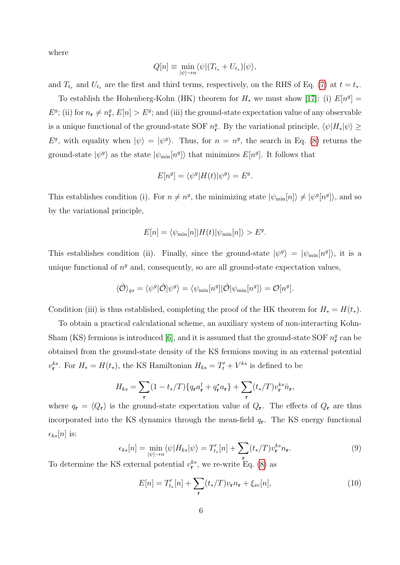where

$$
Q[n] \equiv \min_{|\psi\rangle \to n} \langle \psi | (T_{t_*} + U_{t_*}) | \psi \rangle,
$$

and  $T_{t*}$  and  $U_{t*}$  are the first and third terms, respectively, on the RHS of Eq. [\(7\)](#page-4-1) at  $t = t_*$ .

To establish the Hohenberg-Kohn (HK) theorem for  $H_*$  we must show [\[17\]](#page-13-1): (i)  $E[n^g] =$  $E^g$ ; (ii) for  $n_r \neq n_r^g$ ,  $E[n] > E^g$ ; and (iii) the ground-state expectation value of any observable is a unique functional of the ground-state SOF  $n_r^g$ . By the variational principle,  $\langle \psi | H_* | \psi \rangle \ge$  $E^g$ , with equality when  $|\psi\rangle = |\psi^g\rangle$ . Thus, for  $n = n^g$ , the search in Eq. [\(8\)](#page-4-0) returns the ground-state  $|\psi^g\rangle$  as the state  $|\psi_{\min}[n^g]\rangle$  that minimizes  $E[n^g]$ . It follows that

$$
E[n^g] = \langle \psi^g | H(t) | \psi^g \rangle = E^g.
$$

This establishes condition (i). For  $n \neq n^g$ , the minimizing state  $|\psi_{\min}[n]\rangle \neq |\psi^g[n^g]\rangle$ , and so by the variational principle,

$$
E[n] = \langle \psi_{\min}[n] | H(t) | \psi_{\min}[n] \rangle > E^g.
$$

This establishes condition (ii). Finally, since the ground-state  $|\psi^g\rangle = |\psi_{min}[n^g]\rangle$ , it is a unique functional of  $n<sup>g</sup>$  and, consequently, so are all ground-state expectation values,

$$
\langle \hat{\mathcal{O}} \rangle_{gs} = \langle \psi^g | \hat{\mathcal{O}} | \psi^g \rangle = \langle \psi_{\min}[n^g] | \hat{\mathcal{O}} | \psi_{\min}[n^g] \rangle = \mathcal{O}[n^g].
$$

Condition (iii) is thus established, completing the proof of the HK theorem for  $H_* = H(t_*)$ .

To obtain a practical calculational scheme, an auxiliary system of non-interacting Kohn-Sham (KS) fermions is introduced [\[6\]](#page-12-5), and it is assumed that the ground-state SOF  $n_r^g$  can be obtained from the ground-state density of the KS fermions moving in an external potential  $v_{\mathbf{r}}^{ks}$ . For  $H_* = H(t_*)$ , the KS Hamiltonian  $H_{ks} = T'_t + V^{ks}$  is defined to be

$$
H_{ks} = \sum_{\mathbf{r}} (1 - t_*/T) \{ q_{\mathbf{r}} a_{\mathbf{r}}^{\dagger} + q_{\mathbf{r}}^* a_{\mathbf{r}} \} + \sum_{\mathbf{r}} (t_*/T) v_{\mathbf{r}}^{ks} \hat{n}_{\mathbf{r}},
$$

where  $q_{\bf r} = \langle Q_{\bf r} \rangle$  is the ground-state expectation value of  $Q_{\bf r}$ . The effects of  $Q_{\bf r}$  are thus incorporated into the KS dynamics through the mean-field  $q_r$ . The KS energy functional  $\epsilon_{ks}[n]$  is:

<span id="page-5-0"></span>
$$
\epsilon_{ks}[n] = \min_{|\psi\rangle \to n} \langle \psi | H_{ks} | \psi \rangle = T'_{t_*}[n] + \sum_{\mathbf{r}} (t_*/T) v_{\mathbf{r}}^{ks} n_{\mathbf{r}}.
$$
\n(9)

To determine the KS external potential  $v_{\mathbf{r}}^{ks}$ , we re-write Eq. [\(8\)](#page-4-0) as

<span id="page-5-1"></span>
$$
E[n] = T'_{t_*}[n] + \sum_{\mathbf{r}} (t_*/T)v_{\mathbf{r}} n_{\mathbf{r}} + \xi_{xc}[n],
$$
\n(10)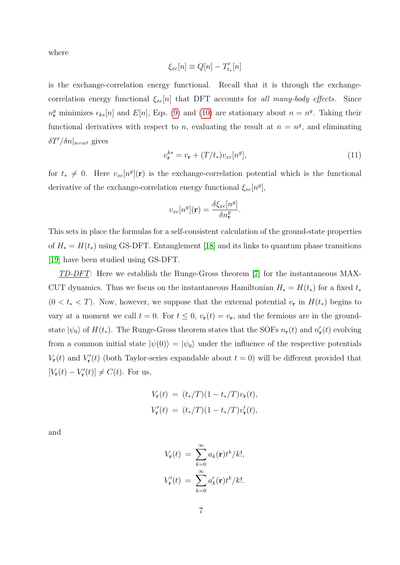where

$$
\xi_{xc}[n] \equiv Q[n] - T'_{t_*}[n]
$$

is the exchange-correlation energy functional. Recall that it is through the exchangecorrelation energy functional  $\xi_{xc}[n]$  that DFT accounts for all many-body effects. Since  $n_r^g$  minimizes  $\epsilon_{ks}[n]$  and  $E[n]$ , Eqs. [\(9\)](#page-5-0) and [\(10\)](#page-5-1) are stationary about  $n = n^g$ . Taking their functional derivatives with respect to n, evaluating the result at  $n = n<sup>g</sup>$ , and eliminating  $\delta T'/\delta n|_{n=n^g}$  gives

$$
v_{\mathbf{r}}^{ks} = v_{\mathbf{r}} + (T/t_*)v_{xc}[n^g],\tag{11}
$$

for  $t_* \neq 0$ . Here  $v_{xc}[n^g](\mathbf{r})$  is the exchange-correlation potential which is the functional derivative of the exchange-correlation energy functional  $\xi_{xc}[n^g]$ ,

$$
v_{xc}[n^g](\mathbf{r}) = \frac{\delta \xi_{xc}[n^g]}{\delta n_{\mathbf{r}}^g}.
$$

This sets in place the formulas for a self-consistent calculation of the ground-state properties of  $H_* = H(t_*)$  using GS-DFT. Entanglement [\[18\]](#page-13-2) and its links to quantum phase transitions [\[19\]](#page-13-3) have been studied using GS-DFT.

TD-DFT: Here we establish the Runge-Gross theorem [\[7\]](#page-12-6) for the instantaneous MAX-CUT dynamics. Thus we focus on the instantaneous Hamiltonian  $H_* = H(t_*)$  for a fixed  $t_*$  $(0 < t_* < T)$ . Now, however, we suppose that the external potential  $v_r$  in  $H(t_*)$  begins to vary at a moment we call  $t = 0$ . For  $t \leq 0$ ,  $v_{\mathbf{r}}(t) = v_{\mathbf{r}}$ , and the fermions are in the groundstate  $|\psi_0\rangle$  of  $H(t_*)$ . The Runge-Gross theorem states that the SOFs  $n_r(t)$  and  $n'_r(t)$  evolving from a common initial state  $|\psi(0)\rangle = |\psi_0\rangle$  under the influence of the respective potentials  $V_{\mathbf{r}}(t)$  and  $V'_{\mathbf{r}}(t)$  (both Taylor-series expandable about  $t = 0$ ) will be different provided that  $[V_{\mathbf{r}}(t) - V_{\mathbf{r}}'(t)] \neq C(t)$ . For us,

$$
V_{\mathbf{r}}(t) = (t_*/T)(1 - t_*/T)v_{\mathbf{r}}(t),
$$
  

$$
V'_{\mathbf{r}}(t) = (t_*/T)(1 - t_*/T)v'_{\mathbf{r}}(t),
$$

and

$$
V_{\mathbf{r}}(t) = \sum_{k=0}^{\infty} a_k(\mathbf{r}) t^k / k!,
$$
  

$$
V'_{\mathbf{r}}(t) = \sum_{k=0}^{\infty} a'_k(\mathbf{r}) t^k / k!.
$$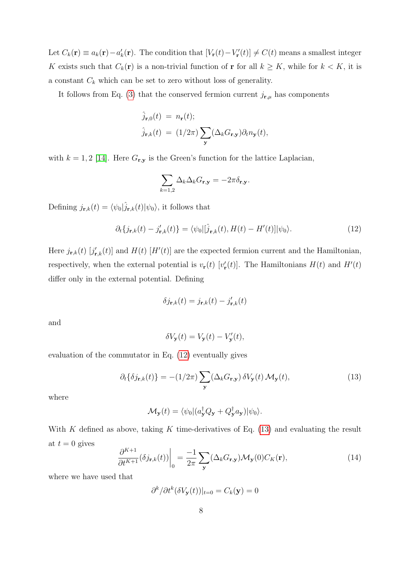Let  $C_k(\mathbf{r}) \equiv a_k(\mathbf{r}) - a'_k(\mathbf{r})$ . The condition that  $[V_{\mathbf{r}}(t) - V'_{\mathbf{r}}(t)] \neq C(t)$  means a smallest integer K exists such that  $C_k(\mathbf{r})$  is a non-trivial function of  $\mathbf{r}$  for all  $k \geq K$ , while for  $k < K$ , it is a constant  $C_k$  which can be set to zero without loss of generality.

It follows from Eq. [\(3\)](#page-3-0) that the conserved fermion current  $j_{\mathbf{r},\mu}$  has components

$$
\hat{j}_{\mathbf{r},0}(t) = n_{\mathbf{r}}(t);
$$
  

$$
\hat{j}_{\mathbf{r},k}(t) = (1/2\pi) \sum_{\mathbf{y}} (\Delta_k G_{\mathbf{r},\mathbf{y}}) \partial_t n_{\mathbf{y}}(t),
$$

with  $k = 1, 2$  [\[14\]](#page-12-12). Here  $G_{\mathbf{r},\mathbf{y}}$  is the Green's function for the lattice Laplacian,

$$
\sum_{k=1,2} \Delta_k \Delta_k G_{\mathbf{r},\mathbf{y}} = -2\pi \delta_{\mathbf{r},\mathbf{y}}.
$$

Defining  $j_{\mathbf{r},k}(t) = \langle \psi_0 | \hat{j}_{\mathbf{r},k}(t) | \psi_0 \rangle$ , it follows that

<span id="page-7-0"></span>
$$
\partial_t \{ j_{\mathbf{r},k}(t) - j'_{\mathbf{r},k}(t) \} = \langle \psi_0 | [\hat{j}_{\mathbf{r},k}(t), H(t) - H'(t)] | \psi_0 \rangle. \tag{12}
$$

Here  $j_{\mathbf{r},k}(t)$  [ $j'_{\mathbf{r},k}(t)$ ] and  $H(t)$  [H'(t)] are the expected fermion current and the Hamiltonian, respectively, when the external potential is  $v_{\bf r}(t)$  [ $v'_{\bf r}(t)$ ]. The Hamiltonians  $H(t)$  and  $H'(t)$ differ only in the external potential. Defining

$$
\delta j_{\mathbf{r},k}(t) = j_{\mathbf{r},k}(t) - j'_{\mathbf{r},k}(t)
$$

and

$$
\delta V_{\mathbf{y}}(t) = V_{\mathbf{y}}(t) - V_{\mathbf{y}}'(t),
$$

evaluation of the commutator in Eq. [\(12\)](#page-7-0) eventually gives

<span id="page-7-1"></span>
$$
\partial_t \{\delta j_{\mathbf{r},k}(t)\} = -(1/2\pi) \sum_{\mathbf{y}} (\Delta_k G_{\mathbf{r},\mathbf{y}}) \,\delta V_{\mathbf{y}}(t) \,\mathcal{M}_{\mathbf{y}}(t),\tag{13}
$$

where

$$
\mathcal{M}_{\mathbf{y}}(t) = \langle \psi_0 | (a_{\mathbf{y}}^{\dagger} Q_{\mathbf{y}} + Q_{\mathbf{y}}^{\dagger} a_{\mathbf{y}}) | \psi_0 \rangle.
$$

With K defined as above, taking K time-derivatives of Eq.  $(13)$  and evaluating the result at  $t = 0$  gives

<span id="page-7-2"></span>
$$
\left. \frac{\partial^{K+1}}{\partial t^{K+1}} (\delta j_{\mathbf{r},k}(t)) \right|_0 = \frac{-1}{2\pi} \sum_{\mathbf{y}} (\Delta_k G_{\mathbf{r},\mathbf{y}}) \mathcal{M}_{\mathbf{y}}(0) C_K(\mathbf{r}), \tag{14}
$$

where we have used that

$$
\partial^k/\partial t^k(\delta V_{\mathbf{y}}(t))|_{t=0} = C_k(\mathbf{y}) = 0
$$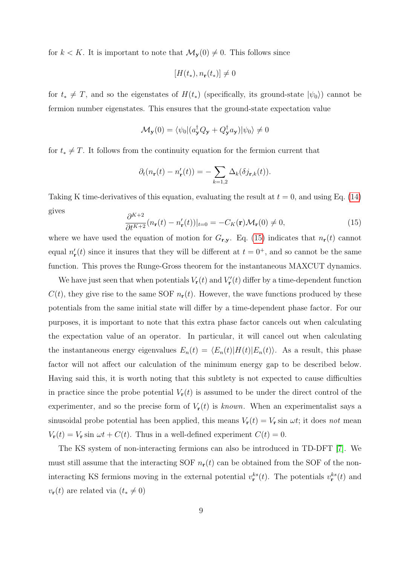for  $k < K$ . It is important to note that  $\mathcal{M}_{\mathbf{y}}(0) \neq 0$ . This follows since

$$
[H(t_*), n_{\mathbf{r}}(t_*)] \neq 0
$$

for  $t_* \neq T$ , and so the eigenstates of  $H(t_*)$  (specifically, its ground-state  $|\psi_0\rangle$ ) cannot be fermion number eigenstates. This ensures that the ground-state expectation value

$$
\mathcal{M}_{\mathbf{y}}(0) = \langle \psi_0 | (a_{\mathbf{y}}^{\dagger} Q_{\mathbf{y}} + Q_{\mathbf{y}}^{\dagger} a_{\mathbf{y}}) | \psi_0 \rangle \neq 0
$$

for  $t_* \neq T$ . It follows from the continuity equation for the fermion current that

$$
\partial_t (n_{\mathbf{r}}(t) - n'_{\mathbf{r}}(t)) = -\sum_{k=1,2} \Delta_k(\delta j_{\mathbf{r},k}(t)).
$$

Taking K time-derivatives of this equation, evaluating the result at  $t = 0$ , and using Eq. [\(14\)](#page-7-2) gives

<span id="page-8-0"></span>
$$
\frac{\partial^{K+2}}{\partial t^{K+2}} (n_{\mathbf{r}}(t) - n'_{\mathbf{r}}(t))|_{t=0} = -C_K(\mathbf{r}) \mathcal{M}_{\mathbf{r}}(0) \neq 0,
$$
\n(15)

where we have used the equation of motion for  $G_{\mathbf{r},\mathbf{y}}$ . Eq. [\(15\)](#page-8-0) indicates that  $n_{\mathbf{r}}(t)$  cannot equal  $n'_{r}(t)$  since it insures that they will be different at  $t = 0^{+}$ , and so cannot be the same function. This proves the Runge-Gross theorem for the instantaneous MAXCUT dynamics.

We have just seen that when potentials  $V_{\mathbf{r}}(t)$  and  $V'_{\mathbf{r}}(t)$  differ by a time-dependent function  $C(t)$ , they give rise to the same SOF  $n_r(t)$ . However, the wave functions produced by these potentials from the same initial state will differ by a time-dependent phase factor. For our purposes, it is important to note that this extra phase factor cancels out when calculating the expectation value of an operator. In particular, it will cancel out when calculating the instantaneous energy eigenvalues  $E_n(t) = \langle E_n(t) | H(t) | E_n(t) \rangle$ . As a result, this phase factor will not affect our calculation of the minimum energy gap to be described below. Having said this, it is worth noting that this subtlety is not expected to cause difficulties in practice since the probe potential  $V_{r}(t)$  is assumed to be under the direct control of the experimenter, and so the precise form of  $V_{r}(t)$  is known. When an experimentalist says a sinusoidal probe potential has been applied, this means  $V_{\bf r}(t) = V_{\bf r} \sin \omega t$ ; it does not mean  $V_{\mathbf{r}}(t) = V_{\mathbf{r}} \sin \omega t + C(t)$ . Thus in a well-defined experiment  $C(t) = 0$ .

The KS system of non-interacting fermions can also be introduced in TD-DFT [\[7\]](#page-12-6). We must still assume that the interacting SOF  $n_r(t)$  can be obtained from the SOF of the noninteracting KS fermions moving in the external potential  $v_{\mathbf{r}}^{ks}(t)$ . The potentials  $v_{\mathbf{r}}^{ks}(t)$  and  $v_{\mathbf{r}}(t)$  are related via  $(t_* \neq 0)$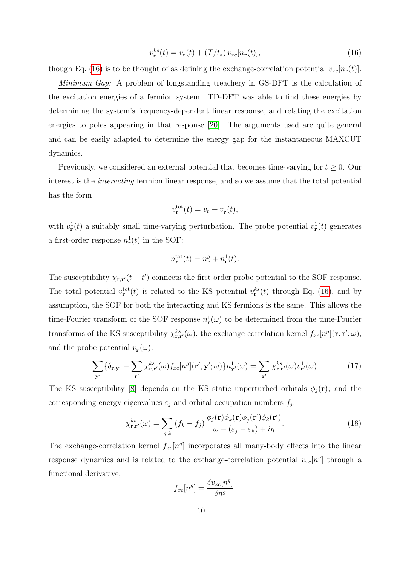<span id="page-9-0"></span>
$$
v_{\mathbf{r}}^{ks}(t) = v_{\mathbf{r}}(t) + (T/t_*) v_{xc}[n_{\mathbf{r}}(t)],
$$
\n(16)

though Eq. [\(16\)](#page-9-0) is to be thought of as defining the exchange-correlation potential  $v_{xc}[n_{r}(t)]$ .

Minimum Gap: A problem of longstanding treachery in GS-DFT is the calculation of the excitation energies of a fermion system. TD-DFT was able to find these energies by determining the system's frequency-dependent linear response, and relating the excitation energies to poles appearing in that response [\[20\]](#page-13-4). The arguments used are quite general and can be easily adapted to determine the energy gap for the instantaneous MAXCUT dynamics.

Previously, we considered an external potential that becomes time-varying for  $t \geq 0$ . Our interest is the interacting fermion linear response, and so we assume that the total potential has the form

$$
v_{\mathbf{r}}^{\mathrm{tot}}(t) = v_{\mathbf{r}} + v_{\mathbf{r}}^1(t),
$$

with  $v_{\mathbf{r}}^{\{1\}}(t)$  a suitably small time-varying perturbation. The probe potential  $v_{\mathbf{r}}^{\{1\}}(t)$  generates a first-order response  $n_{\mathbf{r}}^1(t)$  in the SOF:

$$
n_{\mathbf{r}}^{\mathrm{tot}}(t) = n_{\mathbf{r}}^{g} + n_{\mathbf{r}}^{1}(t).
$$

The susceptibility  $\chi_{\mathbf{r},\mathbf{r}'}(t-t')$  connects the first-order probe potential to the SOF response. The total potential  $v_{\mathbf{r}}^{\text{tot}}(t)$  is related to the KS potential  $v_{\mathbf{r}}^{ks}(t)$  through Eq. [\(16\)](#page-9-0), and by assumption, the SOF for both the interacting and KS fermions is the same. This allows the time-Fourier transform of the SOF response  $n_{\mathbf{r}}^{\{1\}}(\omega)$  to be determined from the time-Fourier transforms of the KS susceptibility  $\chi_{\mathbf{r},\mathbf{r}'}^{ks}(\omega)$ , the exchange-correlation kernel  $f_{xc}[n^g](\mathbf{r},\mathbf{r}';\omega)$ , and the probe potential  $v_{\mathbf{r}}^1(\omega)$ :

<span id="page-9-1"></span>
$$
\sum_{\mathbf{y}'} \{ \delta_{\mathbf{r},\mathbf{y}'} - \sum_{\mathbf{r}'} \chi_{\mathbf{r},\mathbf{r}'}^{ks}(\omega) f_{xc}[n^g](\mathbf{r}', \mathbf{y}'; \omega) \} n_{\mathbf{y}'}^1(\omega) = \sum_{\mathbf{r}'} \chi_{\mathbf{r},\mathbf{r}'}^{ks}(\omega) v_{\mathbf{r}'}^1(\omega).
$$
 (17)

The KS susceptibility [\[8\]](#page-12-7) depends on the KS static unperturbed orbitals  $\phi_j(\mathbf{r})$ ; and the corresponding energy eigenvalues  $\varepsilon_j$  and orbital occupation numbers  $f_j$ ,

$$
\chi_{\mathbf{r},\mathbf{r}'}^{ks}(\omega) = \sum_{j,k} \left( f_k - f_j \right) \frac{\phi_j(\mathbf{r}) \overline{\phi}_k(\mathbf{r}) \overline{\phi}_j(\mathbf{r}') \phi_k(\mathbf{r}')}{\omega - (\varepsilon_j - \varepsilon_k) + i\eta}.
$$
\n(18)

The exchange-correlation kernel  $f_{xc}[n^g]$  incorporates all many-body effects into the linear response dynamics and is related to the exchange-correlation potential  $v_{xc}[n^g]$  through a functional derivative,

$$
f_{xc}[n^g] = \frac{\delta v_{xc}[n^g]}{\delta n^g}.
$$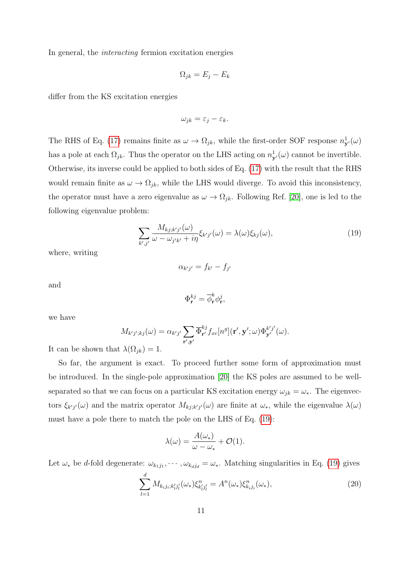In general, the interacting fermion excitation energies

$$
\Omega_{jk} = E_j - E_k
$$

differ from the KS excitation energies

$$
\omega_{jk} = \varepsilon_j - \varepsilon_k.
$$

The RHS of Eq. [\(17\)](#page-9-1) remains finite as  $\omega \to \Omega_{jk}$ , while the first-order SOF response  $n_{\mathbf{y}'}^1(\omega)$ has a pole at each  $\Omega_{jk}$ . Thus the operator on the LHS acting on  $n_{\mathbf{y}'}^1(\omega)$  cannot be invertible. Otherwise, its inverse could be applied to both sides of Eq. [\(17\)](#page-9-1) with the result that the RHS would remain finite as  $\omega \to \Omega_{jk}$ , while the LHS would diverge. To avoid this inconsistency, the operator must have a zero eigenvalue as  $\omega \to \Omega_{jk}$ . Following Ref. [\[20\]](#page-13-4), one is led to the following eigenvalue problem:

<span id="page-10-0"></span>
$$
\sum_{k',j'} \frac{M_{kj;k'j'}(\omega)}{\omega - \omega_{j'k'} + i\eta} \xi_{k'j'}(\omega) = \lambda(\omega) \xi_{kj}(\omega), \tag{19}
$$

where, writing

$$
\alpha_{k'j'} = f_{k'} - f_{j'}
$$

and

$$
\Phi_{\mathbf{r}}^{kj}=\overline{\phi}_{\mathbf{r}}^k\phi_{\mathbf{r}}^j
$$

,

we have

$$
M_{k'j';kj}(\omega) = \alpha_{k'j'} \sum_{\mathbf{r}',\mathbf{y}'} \overline{\Phi}_{\mathbf{r}'}^{kj} f_{xc}[n^g](\mathbf{r}',\mathbf{y}';\omega) \Phi_{\mathbf{y}'}^{k'j'}(\omega).
$$

It can be shown that  $\lambda(\Omega_{ik}) = 1$ .

So far, the argument is exact. To proceed further some form of approximation must be introduced. In the single-pole approximation [\[20\]](#page-13-4) the KS poles are assumed to be wellseparated so that we can focus on a particular KS excitation energy  $\omega_{jk} = \omega_*$ . The eigenvectors  $\xi_{k'j'}(\omega)$  and the matrix operator  $M_{kj;k'j'}(\omega)$  are finite at  $\omega_*$ , while the eigenvalue  $\lambda(\omega)$ must have a pole there to match the pole on the LHS of Eq. [\(19\)](#page-10-0):

$$
\lambda(\omega) = \frac{A(\omega_*)}{\omega - \omega_*} + \mathcal{O}(1).
$$

Let  $\omega_*$  be d-fold degenerate:  $\omega_{k_1j_1}, \dots, \omega_{k_dj_d} = \omega_*$ . Matching singularities in Eq. [\(19\)](#page-10-0) gives

<span id="page-10-1"></span>
$$
\sum_{l=1}^{d} M_{k_{i}j_{i};k'_{l}j'_{l}}(\omega_{*}) \xi_{k'_{l}j'_{l}}^{n} = A^{n}(\omega_{*}) \xi_{k_{i}j_{i}}^{n}(\omega_{*}),
$$
\n(20)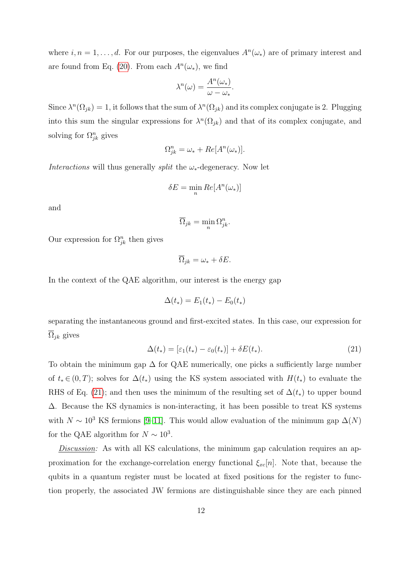where  $i, n = 1, \ldots, d$ . For our purposes, the eigenvalues  $A<sup>n</sup>(\omega_*)$  are of primary interest and are found from Eq. [\(20\)](#page-10-1). From each  $A<sup>n</sup>(\omega_*)$ , we find

$$
\lambda^{n}(\omega) = \frac{A^{n}(\omega_{*})}{\omega - \omega_{*}}.
$$

Since  $\lambda^n(\Omega_{jk}) = 1$ , it follows that the sum of  $\lambda^n(\Omega_{jk})$  and its complex conjugate is 2. Plugging into this sum the singular expressions for  $\lambda^n(\Omega_{jk})$  and that of its complex conjugate, and solving for  $\Omega_{jk}^n$  gives

$$
\Omega_{jk}^{n} = \omega_{*} + Re[A^{n}(\omega_{*})].
$$

Interactions will thus generally *split* the  $\omega_*$ -degeneracy. Now let

$$
\delta E = \min_n Re[A^n(\omega_*)]
$$

and

$$
\overline{\Omega}_{jk} = \min_n \Omega_{jk}^n.
$$

Our expression for  $\Omega_{jk}^n$  then gives

$$
\overline{\Omega}_{jk} = \omega_* + \delta E.
$$

In the context of the QAE algorithm, our interest is the energy gap

$$
\Delta(t_*) = E_1(t_*) - E_0(t_*)
$$

separating the instantaneous ground and first-excited states. In this case, our expression for  $\overline{\Omega}_{ik}$  gives

<span id="page-11-0"></span>
$$
\Delta(t_*) = [\varepsilon_1(t_*) - \varepsilon_0(t_*)] + \delta E(t_*). \tag{21}
$$

To obtain the minimum gap  $\Delta$  for QAE numerically, one picks a sufficiently large number of  $t_* \in (0,T)$ ; solves for  $\Delta(t_*)$  using the KS system associated with  $H(t_*)$  to evaluate the RHS of Eq. [\(21\)](#page-11-0); and then uses the minimum of the resulting set of  $\Delta(t_*)$  to upper bound ∆. Because the KS dynamics is non-interacting, it has been possible to treat KS systems with  $N \sim 10^3$  KS fermions [\[9–](#page-12-8)[11\]](#page-12-9). This would allow evaluation of the minimum gap  $\Delta(N)$ for the QAE algorithm for  $N \sim 10^3$ .

Discussion: As with all KS calculations, the minimum gap calculation requires an approximation for the exchange-correlation energy functional  $\xi_{xc}[n]$ . Note that, because the qubits in a quantum register must be located at fixed positions for the register to function properly, the associated JW fermions are distinguishable since they are each pinned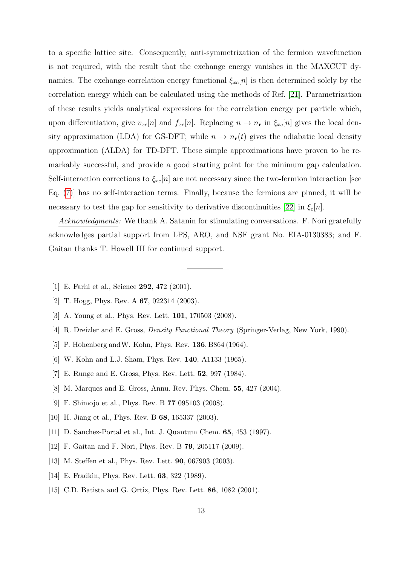to a specific lattice site. Consequently, anti-symmetrization of the fermion wavefunction is not required, with the result that the exchange energy vanishes in the MAXCUT dynamics. The exchange-correlation energy functional  $\xi_{xc}[n]$  is then determined solely by the correlation energy which can be calculated using the methods of Ref. [\[21\]](#page-13-5). Parametrization of these results yields analytical expressions for the correlation energy per particle which, upon differentiation, give  $v_{xc}[n]$  and  $f_{xc}[n]$ . Replacing  $n \to n_r$  in  $\xi_{xc}[n]$  gives the local density approximation (LDA) for GS-DFT; while  $n \to n_{r}(t)$  gives the adiabatic local density approximation (ALDA) for TD-DFT. These simple approximations have proven to be remarkably successful, and provide a good starting point for the minimum gap calculation. Self-interaction corrections to  $\xi_{xc}[n]$  are not necessary since the two-fermion interaction [see Eq. [\(7\)](#page-4-1)] has no self-interaction terms. Finally, because the fermions are pinned, it will be necessary to test the gap for sensitivity to derivative discontinuities [\[22\]](#page-13-6) in  $\xi_c[n]$ .

Acknowledgments: We thank A. Satanin for stimulating conversations. F. Nori gratefully acknowledges partial support from LPS, ARO, and NSF grant No. EIA-0130383; and F. Gaitan thanks T. Howell III for continued support.

- <span id="page-12-1"></span><span id="page-12-0"></span>[1] E. Farhi et al., Science 292, 472 (2001).
- <span id="page-12-2"></span>[2] T. Hogg, Phys. Rev. A **67**, 022314 (2003).
- <span id="page-12-3"></span>[3] A. Young et al., Phys. Rev. Lett. 101, 170503 (2008).
- <span id="page-12-4"></span>[4] R. Dreizler and E. Gross, Density Functional Theory (Springer-Verlag, New York, 1990).
- <span id="page-12-5"></span>[5] P. Hohenberg and W. Kohn, Phys. Rev. **136**, B864 (1964).
- <span id="page-12-6"></span>[6] W. Kohn and L.J. Sham, Phys. Rev. 140, A1133 (1965).
- <span id="page-12-7"></span>[7] E. Runge and E. Gross, Phys. Rev. Lett. 52, 997 (1984).
- <span id="page-12-8"></span>[8] M. Marques and E. Gross, Annu. Rev. Phys. Chem. 55, 427 (2004).
- [9] F. Shimojo et al., Phys. Rev. B 77 095103 (2008).
- <span id="page-12-9"></span>[10] H. Jiang et al., Phys. Rev. B 68, 165337 (2003).
- <span id="page-12-10"></span>[11] D. Sanchez-Portal et al., Int. J. Quantum Chem. 65, 453 (1997).
- <span id="page-12-11"></span>[12] F. Gaitan and F. Nori, Phys. Rev. B 79, 205117 (2009).
- <span id="page-12-12"></span>[13] M. Steffen et al., Phys. Rev. Lett. 90, 067903 (2003).
- <span id="page-12-13"></span>[14] E. Fradkin, Phys. Rev. Lett. **63**, 322 (1989).
- [15] C.D. Batista and G. Ortiz, Phys. Rev. Lett. **86**, 1082 (2001).